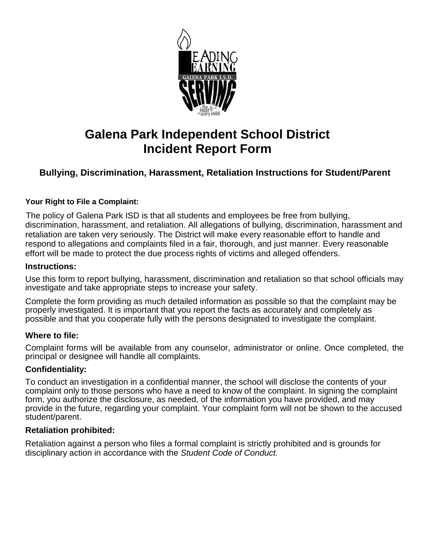

# **Galena Park Independent School District Incident Report Form**

### **Bullying, Discrimination, Harassment, Retaliation Instructions for Student/Parent**

#### **Your Right to File a Complaint:**

 The policy of Galena Park ISD is that all students and employees be free from bullying, discrimination, harassment, and retaliation. All allegations of bullying, discrimination, harassment and retaliation are taken very seriously. The District will make every reasonable effort to handle and respond to allegations and complaints filed in a fair, thorough, and just manner. Every reasonable effort will be made to protect the due process rights of victims and alleged offenders.

#### **Instructions:**

Use this form to report bullying, harassment, discrimination and retaliation so that school officials may investigate and take appropriate steps to increase your safety.

Complete the form providing as much detailed information as possible so that the complaint may be properly investigated. It is important that you report the facts as accurately and completely as possible and that you cooperate fully with the persons designated to investigate the complaint.

#### **Where to file:**

Complaint forms will be available from any counselor, administrator or online. Once completed, the principal or designee will handle all complaints.

#### **Confidentiality:**

To conduct an investigation in a confidential manner, the school will disclose the contents of your complaint only to those persons who have a need to know of the complaint. In signing the complaint form, you authorize the disclosure, as needed, of the information you have provided, and may provide in the future, regarding your complaint. Your complaint form will not be shown to the accused student/parent.

#### **Retaliation prohibited:**

Retaliation against a person who files a formal complaint is strictly prohibited and is grounds for disciplinary action in accordance with the *Student Code of Conduct.*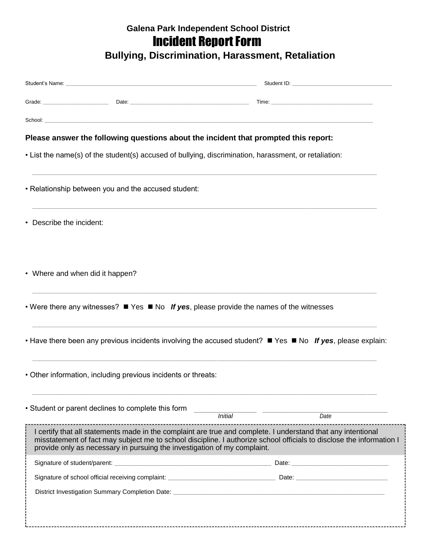## **Galena Park Independent School District Incident Report Form**

**Bullying, Discrimination, Harassment, Retaliation** 

|                                                                                     |                                                                          | Grade: Care and Care and Care and Care and Care and Care and Care and Care and Care and Care and Care and Care and Care and Care and Care and Care and Care and Care and Care and Care and Care and Care and Care and Care and       |  |  |  |  |
|-------------------------------------------------------------------------------------|--------------------------------------------------------------------------|--------------------------------------------------------------------------------------------------------------------------------------------------------------------------------------------------------------------------------------|--|--|--|--|
|                                                                                     |                                                                          | School: <u>Andreas Andreas Andreas Andreas Andreas Andreas Andreas Andreas Andreas Andreas Andreas Andreas Andreas Andreas Andreas Andreas Andreas Andreas Andreas Andreas Andreas Andreas Andreas Andreas Andreas Andreas Andre</u> |  |  |  |  |
| Please answer the following questions about the incident that prompted this report: |                                                                          |                                                                                                                                                                                                                                      |  |  |  |  |
|                                                                                     |                                                                          | • List the name(s) of the student(s) accused of bullying, discrimination, harassment, or retaliation:                                                                                                                                |  |  |  |  |
|                                                                                     | . Relationship between you and the accused student:                      |                                                                                                                                                                                                                                      |  |  |  |  |
| • Describe the incident:                                                            |                                                                          |                                                                                                                                                                                                                                      |  |  |  |  |
| • Where and when did it happen?                                                     |                                                                          |                                                                                                                                                                                                                                      |  |  |  |  |
|                                                                                     |                                                                          | • Were there any witnesses? $\blacksquare$ Yes $\blacksquare$ No If yes, please provide the names of the witnesses                                                                                                                   |  |  |  |  |
|                                                                                     |                                                                          | • Have there been any previous incidents involving the accused student? $\blacksquare$ Yes $\blacksquare$ No If yes, please explain:                                                                                                 |  |  |  |  |
|                                                                                     | • Other information, including previous incidents or threats:            |                                                                                                                                                                                                                                      |  |  |  |  |
|                                                                                     | • Student or parent declines to complete this form                       | <b>Initial</b><br>Date                                                                                                                                                                                                               |  |  |  |  |
|                                                                                     | provide only as necessary in pursuing the investigation of my complaint. | I certify that all statements made in the complaint are true and complete. I understand that any intentional<br>misstatement of fact may subject me to school discipline. I authorize school officials to disclose the information I |  |  |  |  |
|                                                                                     |                                                                          |                                                                                                                                                                                                                                      |  |  |  |  |
|                                                                                     |                                                                          |                                                                                                                                                                                                                                      |  |  |  |  |
|                                                                                     |                                                                          |                                                                                                                                                                                                                                      |  |  |  |  |
|                                                                                     |                                                                          |                                                                                                                                                                                                                                      |  |  |  |  |